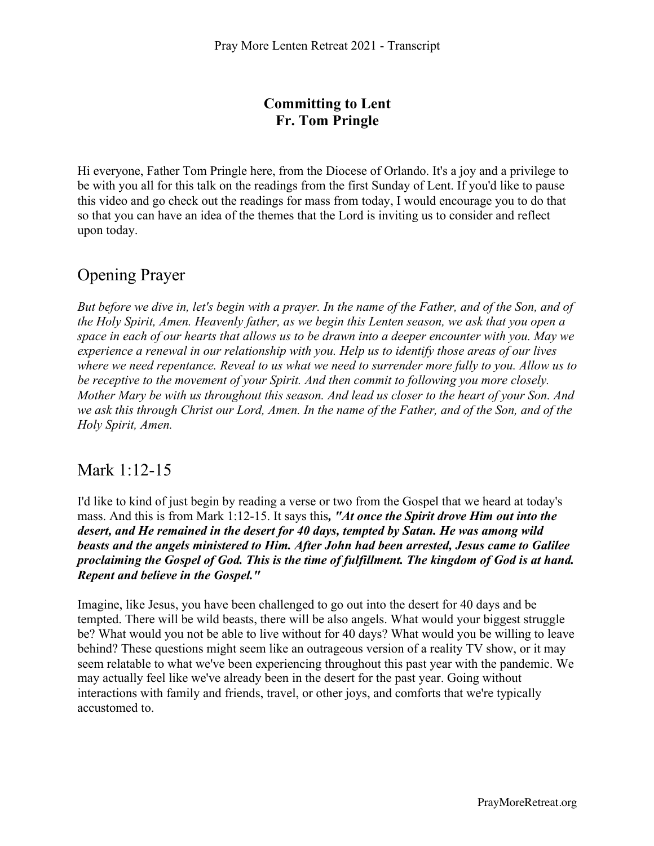#### **Committing to Lent Fr. Tom Pringle**

Hi everyone, Father Tom Pringle here, from the Diocese of Orlando. It's a joy and a privilege to be with you all for this talk on the readings from the first Sunday of Lent. If you'd like to pause this video and go check out the readings for mass from today, I would encourage you to do that so that you can have an idea of the themes that the Lord is inviting us to consider and reflect upon today.

# Opening Prayer

*But before we dive in, let's begin with a prayer. In the name of the Father, and of the Son, and of the Holy Spirit, Amen. Heavenly father, as we begin this Lenten season, we ask that you open a space in each of our hearts that allows us to be drawn into a deeper encounter with you. May we experience a renewal in our relationship with you. Help us to identify those areas of our lives where we need repentance. Reveal to us what we need to surrender more fully to you. Allow us to be receptive to the movement of your Spirit. And then commit to following you more closely. Mother Mary be with us throughout this season. And lead us closer to the heart of your Son. And we ask this through Christ our Lord, Amen. In the name of the Father, and of the Son, and of the Holy Spirit, Amen.* 

## Mark 1:12-15

I'd like to kind of just begin by reading a verse or two from the Gospel that we heard at today's mass. And this is from Mark 1:12-15. It says this*, "At once the Spirit drove Him out into the desert, and He remained in the desert for 40 days, tempted by Satan. He was among wild beasts and the angels ministered to Him. After John had been arrested, Jesus came to Galilee proclaiming the Gospel of God. This is the time of fulfillment. The kingdom of God is at hand. Repent and believe in the Gospel."*

Imagine, like Jesus, you have been challenged to go out into the desert for 40 days and be tempted. There will be wild beasts, there will be also angels. What would your biggest struggle be? What would you not be able to live without for 40 days? What would you be willing to leave behind? These questions might seem like an outrageous version of a reality TV show, or it may seem relatable to what we've been experiencing throughout this past year with the pandemic. We may actually feel like we've already been in the desert for the past year. Going without interactions with family and friends, travel, or other joys, and comforts that we're typically accustomed to.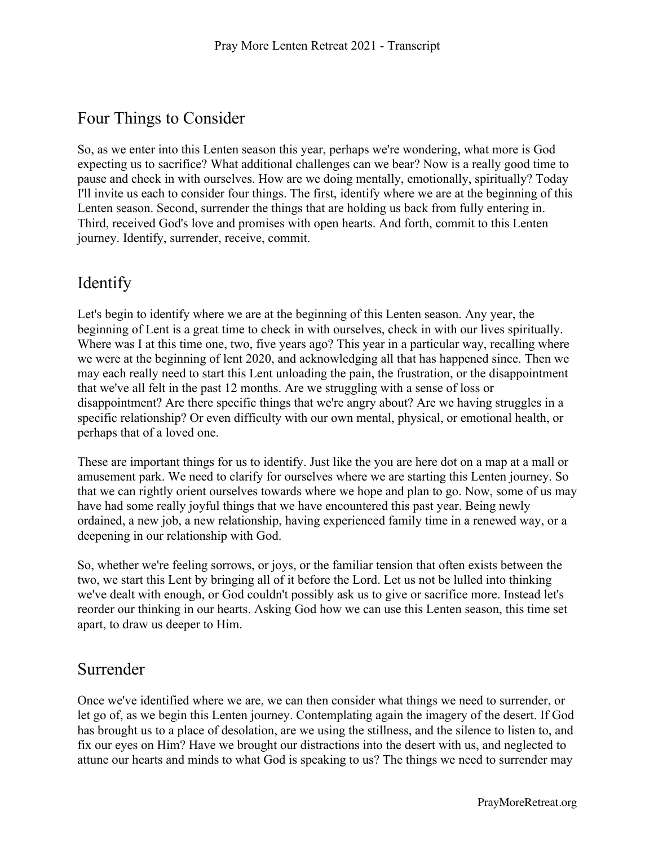## Four Things to Consider

So, as we enter into this Lenten season this year, perhaps we're wondering, what more is God expecting us to sacrifice? What additional challenges can we bear? Now is a really good time to pause and check in with ourselves. How are we doing mentally, emotionally, spiritually? Today I'll invite us each to consider four things. The first, identify where we are at the beginning of this Lenten season. Second, surrender the things that are holding us back from fully entering in. Third, received God's love and promises with open hearts. And forth, commit to this Lenten journey. Identify, surrender, receive, commit.

## Identify

Let's begin to identify where we are at the beginning of this Lenten season. Any year, the beginning of Lent is a great time to check in with ourselves, check in with our lives spiritually. Where was I at this time one, two, five years ago? This year in a particular way, recalling where we were at the beginning of lent 2020, and acknowledging all that has happened since. Then we may each really need to start this Lent unloading the pain, the frustration, or the disappointment that we've all felt in the past 12 months. Are we struggling with a sense of loss or disappointment? Are there specific things that we're angry about? Are we having struggles in a specific relationship? Or even difficulty with our own mental, physical, or emotional health, or perhaps that of a loved one.

These are important things for us to identify. Just like the you are here dot on a map at a mall or amusement park. We need to clarify for ourselves where we are starting this Lenten journey. So that we can rightly orient ourselves towards where we hope and plan to go. Now, some of us may have had some really joyful things that we have encountered this past year. Being newly ordained, a new job, a new relationship, having experienced family time in a renewed way, or a deepening in our relationship with God.

So, whether we're feeling sorrows, or joys, or the familiar tension that often exists between the two, we start this Lent by bringing all of it before the Lord. Let us not be lulled into thinking we've dealt with enough, or God couldn't possibly ask us to give or sacrifice more. Instead let's reorder our thinking in our hearts. Asking God how we can use this Lenten season, this time set apart, to draw us deeper to Him.

# Surrender

Once we've identified where we are, we can then consider what things we need to surrender, or let go of, as we begin this Lenten journey. Contemplating again the imagery of the desert. If God has brought us to a place of desolation, are we using the stillness, and the silence to listen to, and fix our eyes on Him? Have we brought our distractions into the desert with us, and neglected to attune our hearts and minds to what God is speaking to us? The things we need to surrender may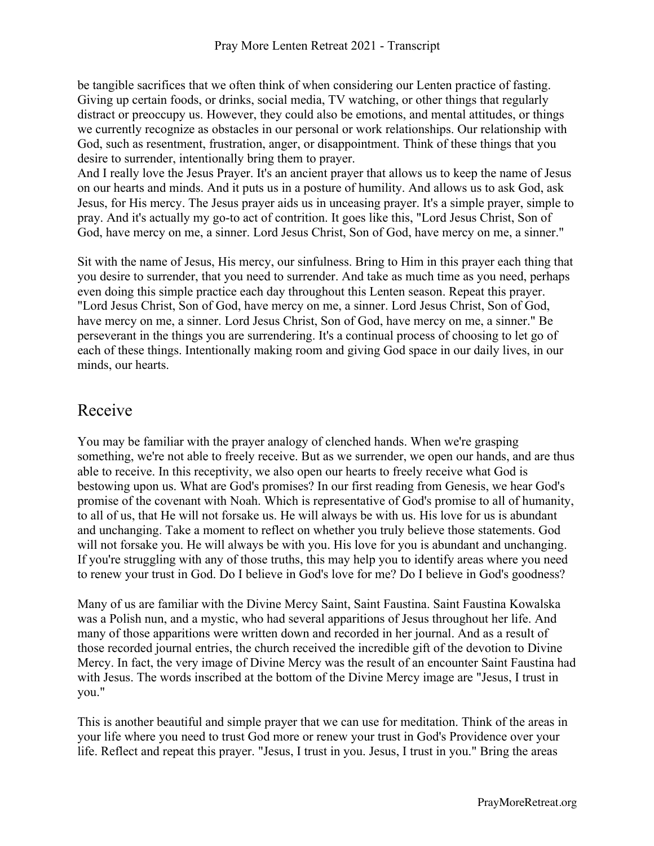be tangible sacrifices that we often think of when considering our Lenten practice of fasting. Giving up certain foods, or drinks, social media, TV watching, or other things that regularly distract or preoccupy us. However, they could also be emotions, and mental attitudes, or things we currently recognize as obstacles in our personal or work relationships. Our relationship with God, such as resentment, frustration, anger, or disappointment. Think of these things that you desire to surrender, intentionally bring them to prayer.

And I really love the Jesus Prayer. It's an ancient prayer that allows us to keep the name of Jesus on our hearts and minds. And it puts us in a posture of humility. And allows us to ask God, ask Jesus, for His mercy. The Jesus prayer aids us in unceasing prayer. It's a simple prayer, simple to pray. And it's actually my go-to act of contrition. It goes like this, "Lord Jesus Christ, Son of God, have mercy on me, a sinner. Lord Jesus Christ, Son of God, have mercy on me, a sinner."

Sit with the name of Jesus, His mercy, our sinfulness. Bring to Him in this prayer each thing that you desire to surrender, that you need to surrender. And take as much time as you need, perhaps even doing this simple practice each day throughout this Lenten season. Repeat this prayer. "Lord Jesus Christ, Son of God, have mercy on me, a sinner. Lord Jesus Christ, Son of God, have mercy on me, a sinner. Lord Jesus Christ, Son of God, have mercy on me, a sinner." Be perseverant in the things you are surrendering. It's a continual process of choosing to let go of each of these things. Intentionally making room and giving God space in our daily lives, in our minds, our hearts.

## Receive

You may be familiar with the prayer analogy of clenched hands. When we're grasping something, we're not able to freely receive. But as we surrender, we open our hands, and are thus able to receive. In this receptivity, we also open our hearts to freely receive what God is bestowing upon us. What are God's promises? In our first reading from Genesis, we hear God's promise of the covenant with Noah. Which is representative of God's promise to all of humanity, to all of us, that He will not forsake us. He will always be with us. His love for us is abundant and unchanging. Take a moment to reflect on whether you truly believe those statements. God will not forsake you. He will always be with you. His love for you is abundant and unchanging. If you're struggling with any of those truths, this may help you to identify areas where you need to renew your trust in God. Do I believe in God's love for me? Do I believe in God's goodness?

Many of us are familiar with the Divine Mercy Saint, Saint Faustina. Saint Faustina Kowalska was a Polish nun, and a mystic, who had several apparitions of Jesus throughout her life. And many of those apparitions were written down and recorded in her journal. And as a result of those recorded journal entries, the church received the incredible gift of the devotion to Divine Mercy. In fact, the very image of Divine Mercy was the result of an encounter Saint Faustina had with Jesus. The words inscribed at the bottom of the Divine Mercy image are "Jesus, I trust in you."

This is another beautiful and simple prayer that we can use for meditation. Think of the areas in your life where you need to trust God more or renew your trust in God's Providence over your life. Reflect and repeat this prayer. "Jesus, I trust in you. Jesus, I trust in you." Bring the areas